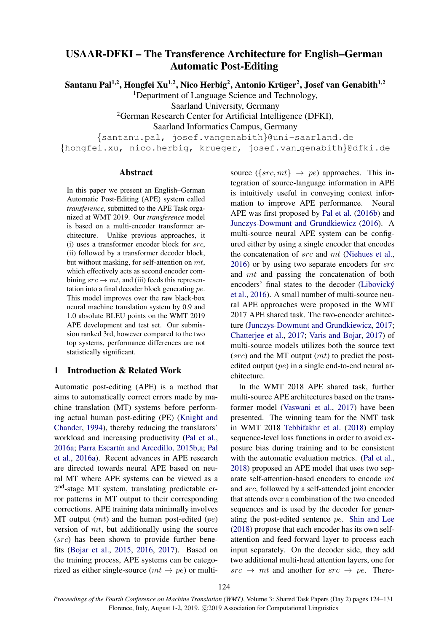# USAAR-DFKI – The Transference Architecture for English–German Automatic Post-Editing

Santanu Pal<sup>1,2</sup>, Hongfei Xu<sup>1,2</sup>, Nico Herbig<sup>2</sup>, Antonio Krüger<sup>2</sup>, Josef van Genabith<sup>1,2</sup>

<sup>1</sup>Department of Language Science and Technology,

Saarland University, Germany

<sup>2</sup>German Research Center for Artificial Intelligence (DFKI),

Saarland Informatics Campus, Germany

{santanu.pal, josef.vangenabith}@uni-saarland.de

{hongfei.xu, nico.herbig, krueger, josef.van genabith}@dfki.de

#### Abstract

In this paper we present an English–German Automatic Post-Editing (APE) system called *transference*, submitted to the APE Task organized at WMT 2019. Our *transference* model is based on a multi-encoder transformer architecture. Unlike previous approaches, it  $(i)$  uses a transformer encoder block for *src*. (ii) followed by a transformer decoder block, but without masking, for self-attention on  $mt$ , which effectively acts as second encoder combining  $src \rightarrow mt$ , and (iii) feeds this representation into a final decoder block generating pe. This model improves over the raw black-box neural machine translation system by 0.9 and 1.0 absolute BLEU points on the WMT 2019 APE development and test set. Our submission ranked 3rd, however compared to the two top systems, performance differences are not statistically significant.

### 1 Introduction & Related Work

Automatic post-editing (APE) is a method that aims to automatically correct errors made by machine translation (MT) systems before performing actual human post-editing (PE) [\(Knight and](#page-5-0) [Chander,](#page-5-0) [1994\)](#page-5-0), thereby reducing the translators' workload and increasing productivity [\(Pal et al.,](#page-6-0) [2016a;](#page-6-0) Parra Escartín and Arcedillo, [2015b,](#page-6-1)[a;](#page-6-2) [Pal](#page-6-0) [et al.,](#page-6-0) [2016a\)](#page-6-0). Recent advances in APE research are directed towards neural APE based on neural MT where APE systems can be viewed as a 2<sup>nd</sup>-stage MT system, translating predictable error patterns in MT output to their corresponding corrections. APE training data minimally involves MT output  $(mt)$  and the human post-edited  $(pe)$ version of mt, but additionally using the source (src) has been shown to provide further benefits [\(Bojar et al.,](#page-5-1) [2015,](#page-5-1) [2016,](#page-5-2) [2017\)](#page-5-3). Based on the training process, APE systems can be categorized as either single-source  $(mt \rightarrow pe)$  or multisource ({ $src, mt$ }  $\rightarrow pe$ ) approaches. This integration of source-language information in APE is intuitively useful in conveying context information to improve APE performance. Neural APE was first proposed by [Pal et al.](#page-6-3) [\(2016b\)](#page-6-3) and [Junczys-Dowmunt and Grundkiewicz](#page-5-4) [\(2016\)](#page-5-4). A multi-source neural APE system can be configured either by using a single encoder that encodes the concatenation of src and mt [\(Niehues et al.,](#page-6-4) [2016\)](#page-6-4) or by using two separate encoders for src and mt and passing the concatenation of both encoders' final states to the decoder (Libovický [et al.,](#page-6-5) [2016\)](#page-6-5). A small number of multi-source neural APE approaches were proposed in the WMT 2017 APE shared task. The two-encoder architecture [\(Junczys-Dowmunt and Grundkiewicz,](#page-5-5) [2017;](#page-5-5) [Chatterjee et al.,](#page-5-6) [2017;](#page-5-6) [Varis and Bojar,](#page-6-6) [2017\)](#page-6-6) of multi-source models utilizes both the source text  $(src)$  and the MT output  $(mt)$  to predict the postedited output (pe) in a single end-to-end neural architecture.

In the WMT 2018 APE shared task, further multi-source APE architectures based on the transformer model [\(Vaswani et al.,](#page-6-7) [2017\)](#page-6-7) have been presented. The winning team for the NMT task in WMT 2018 [Tebbifakhr et al.](#page-6-8) [\(2018\)](#page-6-8) employ sequence-level loss functions in order to avoid exposure bias during training and to be consistent with the automatic evaluation metrics. [\(Pal et al.,](#page-6-9) [2018\)](#page-6-9) proposed an APE model that uses two separate self-attention-based encoders to encode mt and src, followed by a self-attended joint encoder that attends over a combination of the two encoded sequences and is used by the decoder for generating the post-edited sentence pe. [Shin and Lee](#page-6-10) [\(2018\)](#page-6-10) propose that each encoder has its own selfattention and feed-forward layer to process each input separately. On the decoder side, they add two additional multi-head attention layers, one for  $src \rightarrow mt$  and another for  $src \rightarrow pe$ . There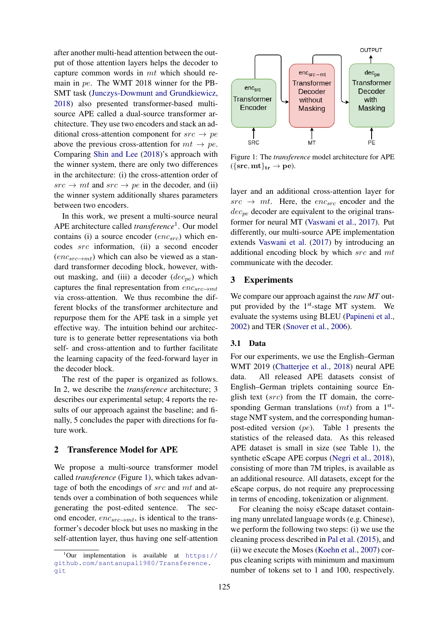after another multi-head attention between the output of those attention layers helps the decoder to capture common words in mt which should remain in pe. The WMT 2018 winner for the PB-SMT task [\(Junczys-Dowmunt and Grundkiewicz,](#page-5-7) [2018\)](#page-5-7) also presented transformer-based multisource APE called a dual-source transformer architecture. They use two encoders and stack an additional cross-attention component for  $src \rightarrow pe$ above the previous cross-attention for  $mt \rightarrow pe$ . Comparing [Shin and Lee](#page-6-10) [\(2018\)](#page-6-10)'s approach with the winner system, there are only two differences in the architecture: (i) the cross-attention order of  $src \rightarrow mt$  and  $src \rightarrow pe$  in the decoder, and (ii) the winner system additionally shares parameters between two encoders.

In this work, we present a multi-source neural APE architecture called *transference*[1](#page-1-0) . Our model contains (i) a source encoder  $(enc_{src})$  which encodes src information, (ii) a second encoder  $(enc_{src \rightarrow mt})$  which can also be viewed as a standard transformer decoding block, however, without masking, and (iii) a decoder  $(dec_{pe})$  which captures the final representation from  $enc_{src \rightarrow mt}$ via cross-attention. We thus recombine the different blocks of the transformer architecture and repurpose them for the APE task in a simple yet effective way. The intuition behind our architecture is to generate better representations via both self- and cross-attention and to further facilitate the learning capacity of the feed-forward layer in the decoder block.

The rest of the paper is organized as follows. In 2, we describe the *transference* architecture; 3 describes our experimental setup; 4 reports the results of our approach against the baseline; and finally, 5 concludes the paper with directions for future work.

# 2 Transference Model for APE

We propose a multi-source transformer model called *transference* (Figure [1\)](#page-1-1), which takes advantage of both the encodings of src and mt and attends over a combination of both sequences while generating the post-edited sentence. The second encoder,  $enc_{src \rightarrow mt}$ , is identical to the transformer's decoder block but uses no masking in the self-attention layer, thus having one self-attention

<span id="page-1-1"></span>

Figure 1: The *transference* model architecture for APE  $({\{src, mt\}}_{tr} \rightarrow pe).$ 

layer and an additional cross-attention layer for  $src \rightarrow mt$ . Here, the  $enc_{src}$  encoder and the  $dec_{pe}$  decoder are equivalent to the original transformer for neural MT [\(Vaswani et al.,](#page-6-7) [2017\)](#page-6-7). Put differently, our multi-source APE implementation extends [Vaswani et al.](#page-6-7) [\(2017\)](#page-6-7) by introducing an additional encoding block by which  $src$  and  $mt$ communicate with the decoder.

# 3 Experiments

We compare our approach against the *raw MT* output provided by the 1<sup>st</sup>-stage MT system. We evaluate the systems using BLEU [\(Papineni et al.,](#page-6-11) [2002\)](#page-6-11) and TER [\(Snover et al.,](#page-6-12) [2006\)](#page-6-12).

## 3.1 Data

For our experiments, we use the English–German WMT 2019 [\(Chatterjee et al.,](#page-5-8) [2018\)](#page-5-8) neural APE data. All released APE datasets consist of English–German triplets containing source English text  $(src)$  from the IT domain, the corresponding German translations  $(mt)$  from a  $1<sup>st</sup>$ stage NMT system, and the corresponding humanpost-edited version (pe). Table [1](#page-2-0) presents the statistics of the released data. As this released APE dataset is small in size (see Table [1\)](#page-2-0), the synthetic eScape APE corpus [\(Negri et al.,](#page-6-13) [2018\)](#page-6-13), consisting of more than 7M triples, is available as an additional resource. All datasets, except for the eScape corpus, do not require any preprocessing in terms of encoding, tokenization or alignment.

For cleaning the noisy eScape dataset containing many unrelated language words (e.g. Chinese), we perform the following two steps: (i) we use the cleaning process described in [Pal et al.](#page-6-14) [\(2015\)](#page-6-14), and (ii) we execute the Moses [\(Koehn et al.,](#page-6-15) [2007\)](#page-6-15) corpus cleaning scripts with minimum and maximum number of tokens set to 1 and 100, respectively.

<span id="page-1-0"></span> $1$ Our implementation is available at [https://](https://github.com/santanupal1980/Transference.git) [github.com/santanupal1980/Transference.](https://github.com/santanupal1980/Transference.git) [git](https://github.com/santanupal1980/Transference.git)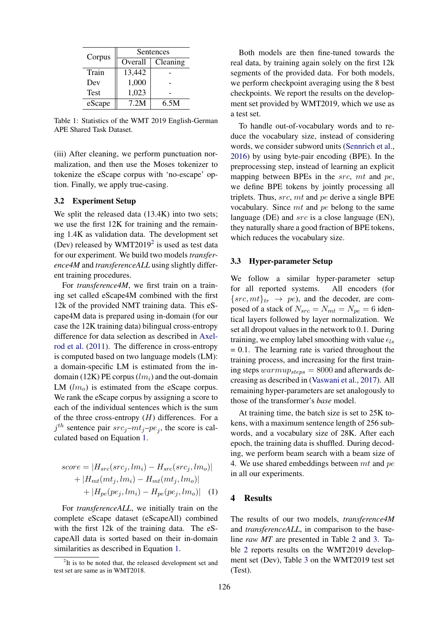<span id="page-2-0"></span>

| Corpus      | Sentences |          |  |
|-------------|-----------|----------|--|
|             | Overall   | Cleaning |  |
| Train       | 13,442    |          |  |
| Dev         | 1,000     |          |  |
| <b>Test</b> | 1,023     |          |  |
| eScape      | 7.2M      | 6.5M     |  |

Table 1: Statistics of the WMT 2019 English-German APE Shared Task Dataset.

(iii) After cleaning, we perform punctuation normalization, and then use the Moses tokenizer to tokenize the eScape corpus with 'no-escape' option. Finally, we apply true-casing.

#### 3.2 Experiment Setup

We split the released data  $(13.4K)$  into two sets; we use the first 12K for training and the remaining 1.4K as validation data. The development set (Dev) released by WMT[2](#page-2-1)019<sup>2</sup> is used as test data for our experiment. We build two models *transference4M* and *transferenceALL* using slightly different training procedures.

For *transference4M*, we first train on a training set called eScape4M combined with the first 12k of the provided NMT training data. This eScape4M data is prepared using in-domain (for our case the 12K training data) bilingual cross-entropy difference for data selection as described in [Axel](#page-5-9)[rod et al.](#page-5-9) [\(2011\)](#page-5-9). The difference in cross-entropy is computed based on two language models (LM): a domain-specific LM is estimated from the indomain (12K) PE corpus  $(lm<sub>i</sub>)$  and the out-domain LM  $(lm<sub>o</sub>)$  is estimated from the eScape corpus. We rank the eScape corpus by assigning a score to each of the individual sentences which is the sum of the three cross-entropy  $(H)$  differences. For a  $j^{th}$  sentence pair  $src_j-mt_j-pe_j$ , the score is calculated based on Equation [1.](#page-2-2)

$$
score = |H_{src}(src_j, lm_i) - H_{src}(src_j, lm_o)|
$$
  
+ |H<sub>mt</sub>(mt<sub>j</sub>, lm<sub>i</sub>) - H<sub>mt</sub>(mt<sub>j</sub>, lm<sub>o</sub>)|  
+ |H<sub>pe</sub>(pe<sub>j</sub>, lm<sub>i</sub>) - H<sub>pe</sub>(pe<sub>j</sub>, lm<sub>o</sub>)| (1)

For *transferenceALL*, we initially train on the complete eScape dataset (eScapeAll) combined with the first 12k of the training data. The eScapeAll data is sorted based on their in-domain similarities as described in Equation [1.](#page-2-2)

Both models are then fine-tuned towards the real data, by training again solely on the first 12k segments of the provided data. For both models, we perform checkpoint averaging using the 8 best checkpoints. We report the results on the development set provided by WMT2019, which we use as a test set.

To handle out-of-vocabulary words and to reduce the vocabulary size, instead of considering words, we consider subword units [\(Sennrich et al.,](#page-6-16) [2016\)](#page-6-16) by using byte-pair encoding (BPE). In the preprocessing step, instead of learning an explicit mapping between BPEs in the  $src$ ,  $mt$  and  $pe$ , we define BPE tokens by jointly processing all triplets. Thus,  $src$ ,  $mt$  and  $pe$  derive a single BPE vocabulary. Since mt and pe belong to the same language (DE) and  $src$  is a close language (EN), they naturally share a good fraction of BPE tokens, which reduces the vocabulary size.

#### 3.3 Hyper-parameter Setup

We follow a similar hyper-parameter setup for all reported systems. All encoders (for  $\{src, mt\}_{tr} \rightarrow pe$ , and the decoder, are composed of a stack of  $N_{src} = N_{mt} = N_{pe} = 6$  identical layers followed by layer normalization. We set all dropout values in the network to 0.1. During training, we employ label smoothing with value  $\epsilon_{ls}$  $= 0.1$ . The learning rate is varied throughout the training process, and increasing for the first training steps  $warmup_{steps} = 8000$  and afterwards decreasing as described in [\(Vaswani et al.,](#page-6-7) [2017\)](#page-6-7). All remaining hyper-parameters are set analogously to those of the transformer's *base* model.

At training time, the batch size is set to 25K tokens, with a maximum sentence length of 256 subwords, and a vocabulary size of 28K. After each epoch, the training data is shuffled. During decoding, we perform beam search with a beam size of 4. We use shared embeddings between  $mt$  and  $pe$ in all our experiments.

#### <span id="page-2-2"></span>4 Results

The results of our two models, *transference4M* and *transferenceALL*, in comparison to the baseline *raw MT* are presented in Table [2](#page-3-0) and [3.](#page-3-1) Table [2](#page-3-0) reports results on the WMT2019 development set (Dev), Table [3](#page-3-1) on the WMT2019 test set (Test).

<span id="page-2-1"></span><sup>&</sup>lt;sup>2</sup>It is to be noted that, the released development set and test set are same as in WMT2018.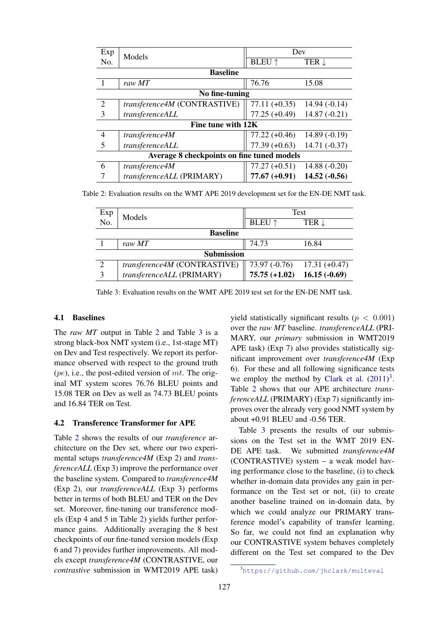<span id="page-3-0"></span>

| Exp                                        | Models                       | Dev             |                  |  |  |  |
|--------------------------------------------|------------------------------|-----------------|------------------|--|--|--|
| No.                                        |                              | <b>BLEU</b> ↑   | TER $\downarrow$ |  |  |  |
| <b>Baseline</b>                            |                              |                 |                  |  |  |  |
|                                            | raw MT                       | 76.76           | 15.08            |  |  |  |
| No fine-tuning                             |                              |                 |                  |  |  |  |
| 2                                          | transference4M (CONTRASTIVE) | $77.11 (+0.35)$ | $14.94(-0.14)$   |  |  |  |
| 3                                          | transferenceALL              | $77.25 (+0.49)$ | $14.87(-0.21)$   |  |  |  |
| Fine tune with 12K                         |                              |                 |                  |  |  |  |
| $\overline{4}$                             | transference4M               | $77.22 (+0.46)$ | $14.89(-0.19)$   |  |  |  |
| 5                                          | transferenceALL              | $77.39 (+0.63)$ | $14.71(-0.37)$   |  |  |  |
| Average 8 checkpoints on fine tuned models |                              |                 |                  |  |  |  |
| 6                                          | transference4M               | $77.27 (+0.51)$ | $14.88(-0.20)$   |  |  |  |
|                                            | transferenceALL (PRIMARY)    | $77.67 (+0.91)$ | $14.52(-0.56)$   |  |  |  |

<span id="page-3-1"></span>Table 2: Evaluation results on the WMT APE 2019 development set for the EN-DE NMT task.

| Exp<br>No.        | Models                       | Test                            |                  |  |  |  |
|-------------------|------------------------------|---------------------------------|------------------|--|--|--|
|                   |                              | <b>BLEU</b> ↑                   | TER $\downarrow$ |  |  |  |
| <b>Baseline</b>   |                              |                                 |                  |  |  |  |
|                   | raw MT                       | 74.73                           | 16.84            |  |  |  |
| <b>Submission</b> |                              |                                 |                  |  |  |  |
| 2                 | transference4M (CONTRASTIVE) | 73.97 $(-0.76)$ 17.31 $(+0.47)$ |                  |  |  |  |
| 3                 | transferenceALL (PRIMARY)    | $75.75 (+1.02)$                 | $16.15(-0.69)$   |  |  |  |

Table 3: Evaluation results on the WMT APE 2019 test set for the EN-DE NMT task.

#### 4.1 Baselines

The *raw MT* output in Table [2](#page-3-0) and Table [3](#page-3-1) is a strong black-box NMT system (i.e., 1st-stage MT) on Dev and Test respectively. We report its performance observed with respect to the ground truth  $(pe)$ , i.e., the post-edited version of mt. The original MT system scores 76.76 BLEU points and 15.08 TER on Dev as well as 74.73 BLEU points and 16.84 TER on Test.

## 4.2 Transference Transformer for APE

Table [2](#page-3-0) shows the results of our *transference* architecture on the Dev set, where our two experimental setups *transference4M* (Exp 2) and *transferenceALL* (Exp 3) improve the performance over the baseline system. Compared to *transference4M* (Exp 2), our *transferenceALL* (Exp 3) performs better in terms of both BLEU and TER on the Dev set. Moreover, fine-tuning our transference models (Exp 4 and 5 in Table [2\)](#page-3-0) yields further performance gains. Additionally averaging the 8 best checkpoints of our fine-tuned version models (Exp 6 and 7) provides further improvements. All models except *transference4M* (CONTRASTIVE, our *contrastive* submission in WMT2019 APE task)

yield statistically significant results ( $p < 0.001$ ) over the *raw MT* baseline. *transferenceALL* (PRI-MARY, our *primary* submission in WMT2019 APE task) (Exp 7) also provides statistically significant improvement over *transference4M* (Exp 6). For these and all following significance tests we employ the method by [Clark et al.](#page-5-10)  $(2011)^3$  $(2011)^3$  $(2011)^3$ . Table [2](#page-3-0) shows that our APE architecture *transferenceALL* (PRIMARY) (Exp 7) significantly improves over the already very good NMT system by about +0.91 BLEU and -0.56 TER.

Table [3](#page-3-1) presents the results of our submissions on the Test set in the WMT 2019 EN-DE APE task. We submitted *transference4M* (CONTRASTIVE) system – a weak model having performance close to the baseline, (i) to check whether in-domain data provides any gain in performance on the Test set or not, (ii) to create another baseline trained on in-domain data, by which we could analyze our PRIMARY transference model's capability of transfer learning. So far, we could not find an explanation why our CONTRASTIVE system behaves completely different on the Test set compared to the Dev

<span id="page-3-2"></span><sup>3</sup><https://github.com/jhclark/multeval>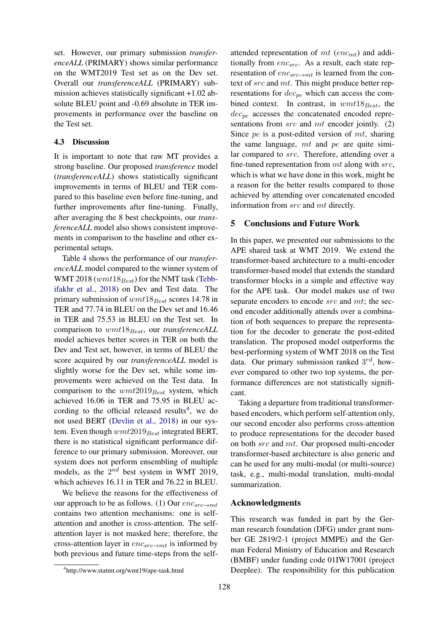set. However, our primary submission *transferenceALL* (PRIMARY) shows similar performance on the WMT2019 Test set as on the Dev set. Overall our *transferenceALL* (PRIMARY) submission achieves statistically significant +1.02 absolute BLEU point and -0.69 absolute in TER improvements in performance over the baseline on the Test set.

### 4.3 Discussion

It is important to note that raw MT provides a strong baseline. Our proposed *transference* model (*transferenceALL*) shows statistically significant improvements in terms of BLEU and TER compared to this baseline even before fine-tuning, and further improvements after fine-tuning. Finally, after averaging the 8 best checkpoints, our *transferenceALL* model also shows consistent improvements in comparison to the baseline and other experimental setups.

Table [4](#page-5-11) shows the performance of our *transferenceALL* model compared to the winner system of WMT 2018 ( $wmt18_{Best}$ ) for the NMT task [\(Tebb](#page-6-8)[ifakhr et al.,](#page-6-8) [2018\)](#page-6-8) on Dev and Test data. The primary submission of  $wmt18_{Best}$  scores 14.78 in TER and 77.74 in BLEU on the Dev set and 16.46 in TER and 75.53 in BLEU on the Test set. In comparison to  $wmt18_{Best}$ , our *transferenceALL* model achieves better scores in TER on both the Dev and Test set, however, in terms of BLEU the score acquired by our *transferenceALL* model is slightly worse for the Dev set, while some improvements were achieved on the Test data. In comparison to the  $wmt2019_{Best}$  system, which achieved 16.06 in TER and 75.95 in BLEU ac-cording to the official released results<sup>[4](#page-4-0)</sup>, we do not used BERT [\(Devlin et al.,](#page-5-12) [2018\)](#page-5-12) in our system. Even though  $wmt2019_{Best}$  integrated BERT, there is no statistical significant performance difference to our primary submission. Moreover, our system does not perform ensembling of multiple models, as the  $2^{nd}$  best system in WMT 2019, which achieves 16.11 in TER and 76.22 in BLEU.

We believe the reasons for the effectiveness of our approach to be as follows. (1) Our  $enc_{src \rightarrow mt}$ contains two attention mechanisms: one is selfattention and another is cross-attention. The selfattention layer is not masked here; therefore, the cross-attention layer in  $enc_{src \rightarrow mt}$  is informed by both previous and future time-steps from the selfattended representation of  $mt$  (enc<sub>mt</sub>) and additionally from  $enc_{src}$ . As a result, each state representation of  $enc_{src \rightarrow mt}$  is learned from the context of src and mt. This might produce better representations for  $dec_{pe}$  which can access the combined context. In contrast, in  $wmt18_{Best}$ , the  $dec_{pe}$  accesses the concatenated encoded representations from *src* and *mt* encoder jointly. (2) Since  $pe$  is a post-edited version of  $mt$ , sharing the same language,  $mt$  and  $pe$  are quite similar compared to src. Therefore, attending over a fine-tuned representation from  $mt$  along with  $src$ , which is what we have done in this work, might be a reason for the better results compared to those achieved by attending over concatenated encoded information from src and mt directly.

#### 5 Conclusions and Future Work

In this paper, we presented our submissions to the APE shared task at WMT 2019. We extend the transformer-based architecture to a multi-encoder transformer-based model that extends the standard transformer blocks in a simple and effective way for the APE task. Our model makes use of two separate encoders to encode src and mt; the second encoder additionally attends over a combination of both sequences to prepare the representation for the decoder to generate the post-edited translation. The proposed model outperforms the best-performing system of WMT 2018 on the Test data. Our primary submission ranked  $3^{rd}$ , however compared to other two top systems, the performance differences are not statistically significant.

Taking a departure from traditional transformerbased encoders, which perform self-attention only, our second encoder also performs cross-attention to produce representations for the decoder based on both src and mt. Our proposed multi-encoder transformer-based architecture is also generic and can be used for any multi-modal (or multi-source) task, e.g., multi-modal translation, multi-modal summarization.

#### Acknowledgments

This research was funded in part by the German research foundation (DFG) under grant number GE 2819/2-1 (project MMPE) and the German Federal Ministry of Education and Research (BMBF) under funding code 01IW17001 (project Deeplee). The responsibility for this publication

<span id="page-4-0"></span><sup>4</sup> http://www.statmt.org/wmt19/ape-task.html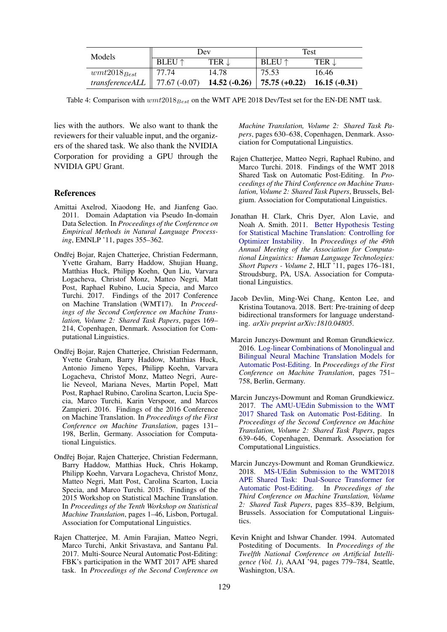<span id="page-5-11"></span>

| Models                                                               | Dev           |                  | Test                                            |       |
|----------------------------------------------------------------------|---------------|------------------|-------------------------------------------------|-------|
|                                                                      | <b>BLEU</b> ↑ | TER $\downarrow$ | <b>BLEU</b> $\uparrow$                          | TER J |
| $wmt2018_{Best}$                                                     | $\mid$ 77.74  | 14.78            | 75.53                                           | 16.46 |
| transference ALL   77.67 $(-0.07)$ <b>14.52 <math>(-0.26)</math></b> |               |                  | $\vert 75.75 (+0.22) \vert 16.15 (-0.31) \vert$ |       |

Table 4: Comparison with  $wmt2018_{Best}$  on the WMT APE 2018 Dev/Test set for the EN-DE NMT task.

lies with the authors. We also want to thank the reviewers for their valuable input, and the organizers of the shared task. We also thank the NVIDIA Corporation for providing a GPU through the NVIDIA GPU Grant.

## References

- <span id="page-5-9"></span>Amittai Axelrod, Xiaodong He, and Jianfeng Gao. 2011. Domain Adaptation via Pseudo In-domain Data Selection. In *Proceedings of the Conference on Empirical Methods in Natural Language Processing*, EMNLP '11, pages 355–362.
- <span id="page-5-3"></span>Ondřej Bojar, Rajen Chatterjee, Christian Federmann, Yvette Graham, Barry Haddow, Shujian Huang, Matthias Huck, Philipp Koehn, Qun Liu, Varvara Logacheva, Christof Monz, Matteo Negri, Matt Post, Raphael Rubino, Lucia Specia, and Marco Turchi. 2017. Findings of the 2017 Conference on Machine Translation (WMT17). In *Proceedings of the Second Conference on Machine Translation, Volume 2: Shared Task Papers*, pages 169– 214, Copenhagen, Denmark. Association for Computational Linguistics.
- <span id="page-5-2"></span>Ondřej Bojar, Rajen Chatterjee, Christian Federmann, Yvette Graham, Barry Haddow, Matthias Huck, Antonio Jimeno Yepes, Philipp Koehn, Varvara Logacheva, Christof Monz, Matteo Negri, Aurelie Neveol, Mariana Neves, Martin Popel, Matt Post, Raphael Rubino, Carolina Scarton, Lucia Specia, Marco Turchi, Karin Verspoor, and Marcos Zampieri. 2016. Findings of the 2016 Conference on Machine Translation. In *Proceedings of the First Conference on Machine Translation*, pages 131– 198, Berlin, Germany. Association for Computational Linguistics.
- <span id="page-5-1"></span>Ondřej Bojar, Rajen Chatterjee, Christian Federmann, Barry Haddow, Matthias Huck, Chris Hokamp, Philipp Koehn, Varvara Logacheva, Christof Monz, Matteo Negri, Matt Post, Carolina Scarton, Lucia Specia, and Marco Turchi. 2015. Findings of the 2015 Workshop on Statistical Machine Translation. In *Proceedings of the Tenth Workshop on Statistical Machine Translation*, pages 1–46, Lisbon, Portugal. Association for Computational Linguistics.
- <span id="page-5-6"></span>Rajen Chatterjee, M. Amin Farajian, Matteo Negri, Marco Turchi, Ankit Srivastava, and Santanu Pal. 2017. Multi-Source Neural Automatic Post-Editing: FBK's participation in the WMT 2017 APE shared task. In *Proceedings of the Second Conference on*

*Machine Translation, Volume 2: Shared Task Papers*, pages 630–638, Copenhagen, Denmark. Association for Computational Linguistics.

- <span id="page-5-8"></span>Rajen Chatterjee, Matteo Negri, Raphael Rubino, and Marco Turchi. 2018. Findings of the WMT 2018 Shared Task on Automatic Post-Editing. In *Proceedings of the Third Conference on Machine Translation, Volume 2: Shared Task Papers*, Brussels, Belgium. Association for Computational Linguistics.
- <span id="page-5-10"></span>Jonathan H. Clark, Chris Dyer, Alon Lavie, and Noah A. Smith. 2011. [Better Hypothesis Testing](http://dl.acm.org/citation.cfm?id=2002736.2002774) [for Statistical Machine Translation: Controlling for](http://dl.acm.org/citation.cfm?id=2002736.2002774) [Optimizer Instability.](http://dl.acm.org/citation.cfm?id=2002736.2002774) In *Proceedings of the 49th Annual Meeting of the Association for Computational Linguistics: Human Language Technologies: Short Papers - Volume 2*, HLT '11, pages 176–181, Stroudsburg, PA, USA. Association for Computational Linguistics.
- <span id="page-5-12"></span>Jacob Devlin, Ming-Wei Chang, Kenton Lee, and Kristina Toutanova. 2018. Bert: Pre-training of deep bidirectional transformers for language understanding. *arXiv preprint arXiv:1810.04805*.
- <span id="page-5-4"></span>Marcin Junczys-Dowmunt and Roman Grundkiewicz. 2016. [Log-linear Combinations of Monolingual and](http://www.aclweb.org/anthology/W/W16/W16-2378) [Bilingual Neural Machine Translation Models for](http://www.aclweb.org/anthology/W/W16/W16-2378) [Automatic Post-Editing.](http://www.aclweb.org/anthology/W/W16/W16-2378) In *Proceedings of the First Conference on Machine Translation*, pages 751– 758, Berlin, Germany.
- <span id="page-5-5"></span>Marcin Junczys-Dowmunt and Roman Grundkiewicz. 2017. [The AMU-UEdin Submission to the WMT](http://www.aclweb.org/anthology/W17-4774) [2017 Shared Task on Automatic Post-Editing.](http://www.aclweb.org/anthology/W17-4774) In *Proceedings of the Second Conference on Machine Translation, Volume 2: Shared Task Papers*, pages 639–646, Copenhagen, Denmark. Association for Computational Linguistics.
- <span id="page-5-7"></span>Marcin Junczys-Dowmunt and Roman Grundkiewicz. 2018. [MS-UEdin Submission to the WMT2018](http://www.aclweb.org/anthology/W18-6468) [APE Shared Task: Dual-Source Transformer for](http://www.aclweb.org/anthology/W18-6468) [Automatic Post-Editing.](http://www.aclweb.org/anthology/W18-6468) In *Proceedings of the Third Conference on Machine Translation, Volume 2: Shared Task Papers*, pages 835–839, Belgium, Brussels. Association for Computational Linguistics.
- <span id="page-5-0"></span>Kevin Knight and Ishwar Chander. 1994. Automated Postediting of Documents. In *Proceedings of the Twelfth National Conference on Artificial Intelligence (Vol. 1)*, AAAI '94, pages 779–784, Seattle, Washington, USA.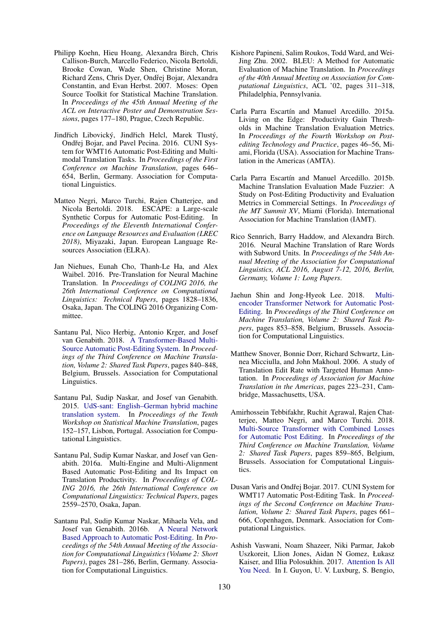- <span id="page-6-15"></span>Philipp Koehn, Hieu Hoang, Alexandra Birch, Chris Callison-Burch, Marcello Federico, Nicola Bertoldi, Brooke Cowan, Wade Shen, Christine Moran, Richard Zens, Chris Dyer, Ondřej Bojar, Alexandra Constantin, and Evan Herbst. 2007. Moses: Open Source Toolkit for Statistical Machine Translation. In *Proceedings of the 45th Annual Meeting of the ACL on Interactive Poster and Demonstration Sessions*, pages 177–180, Prague, Czech Republic.
- <span id="page-6-5"></span>Jindřich Libovický, Jindřich Helcl, Marek Tlustý, Ondřej Bojar, and Pavel Pecina. 2016. CUNI System for WMT16 Automatic Post-Editing and Multimodal Translation Tasks. In *Proceedings of the First Conference on Machine Translation*, pages 646– 654, Berlin, Germany. Association for Computational Linguistics.
- <span id="page-6-13"></span>Matteo Negri, Marco Turchi, Rajen Chatterjee, and Nicola Bertoldi. 2018. ESCAPE: a Large-scale Synthetic Corpus for Automatic Post-Editing. In *Proceedings of the Eleventh International Conference on Language Resources and Evaluation (LREC 2018)*, Miyazaki, Japan. European Language Resources Association (ELRA).
- <span id="page-6-4"></span>Jan Niehues, Eunah Cho, Thanh-Le Ha, and Alex Waibel. 2016. Pre-Translation for Neural Machine Translation. In *Proceedings of COLING 2016, the 26th International Conference on Computational Linguistics: Technical Papers*, pages 1828–1836, Osaka, Japan. The COLING 2016 Organizing Committee.
- <span id="page-6-9"></span>Santanu Pal, Nico Herbig, Antonio Krger, and Josef van Genabith. 2018. [A Transformer-Based Multi-](http://www.aclweb.org/anthology/W18-6469)[Source Automatic Post-Editing System.](http://www.aclweb.org/anthology/W18-6469) In *Proceedings of the Third Conference on Machine Translation, Volume 2: Shared Task Papers*, pages 840–848, Belgium, Brussels. Association for Computational Linguistics.
- <span id="page-6-14"></span>Santanu Pal, Sudip Naskar, and Josef van Genabith. 2015. [UdS-sant: English–German hybrid machine](https://doi.org/10.18653/v1/W15-3017) [translation system.](https://doi.org/10.18653/v1/W15-3017) In *Proceedings of the Tenth Workshop on Statistical Machine Translation*, pages 152–157, Lisbon, Portugal. Association for Computational Linguistics.
- <span id="page-6-0"></span>Santanu Pal, Sudip Kumar Naskar, and Josef van Genabith. 2016a. Multi-Engine and Multi-Alignment Based Automatic Post-Editing and Its Impact on Translation Productivity. In *Proceedings of COL-ING 2016, the 26th International Conference on Computational Linguistics: Technical Papers*, pages 2559–2570, Osaka, Japan.
- <span id="page-6-3"></span>Santanu Pal, Sudip Kumar Naskar, Mihaela Vela, and Josef van Genabith. 2016b. [A Neural Network](http://anthology.aclweb.org/P16-2046) [Based Approach to Automatic Post-Editing.](http://anthology.aclweb.org/P16-2046) In *Proceedings of the 54th Annual Meeting of the Association for Computational Linguistics (Volume 2: Short Papers)*, pages 281–286, Berlin, Germany. Association for Computational Linguistics.
- <span id="page-6-11"></span>Kishore Papineni, Salim Roukos, Todd Ward, and Wei-Jing Zhu. 2002. BLEU: A Method for Automatic Evaluation of Machine Translation. In *Proceedings of the 40th Annual Meeting on Association for Computational Linguistics*, ACL '02, pages 311–318, Philadelphia, Pennsylvania.
- <span id="page-6-2"></span>Carla Parra Escartín and Manuel Arcedillo. 2015a. Living on the Edge: Productivity Gain Thresholds in Machine Translation Evaluation Metrics. In *Proceedings of the Fourth Workshop on Postediting Technology and Practice*, pages 46–56, Miami, Florida (USA). Association for Machine Translation in the Americas (AMTA).
- <span id="page-6-1"></span>Carla Parra Escartín and Manuel Arcedillo. 2015b. Machine Translation Evaluation Made Fuzzier: A Study on Post-Editing Productivity and Evaluation Metrics in Commercial Settings. In *Proceedings of the MT Summit XV*, Miami (Florida). International Association for Machine Translation (IAMT).
- <span id="page-6-16"></span>Rico Sennrich, Barry Haddow, and Alexandra Birch. 2016. Neural Machine Translation of Rare Words with Subword Units. In *Proceedings of the 54th Annual Meeting of the Association for Computational Linguistics, ACL 2016, August 7-12, 2016, Berlin, Germany, Volume 1: Long Papers*.
- <span id="page-6-10"></span>Jaehun Shin and Jong-Hyeok Lee. 2018. [Multi](http://www.aclweb.org/anthology/W18-6471)[encoder Transformer Network for Automatic Post-](http://www.aclweb.org/anthology/W18-6471)[Editing.](http://www.aclweb.org/anthology/W18-6471) In *Proceedings of the Third Conference on Machine Translation, Volume 2: Shared Task Papers*, pages 853–858, Belgium, Brussels. Association for Computational Linguistics.
- <span id="page-6-12"></span>Matthew Snover, Bonnie Dorr, Richard Schwartz, Linnea Micciulla, and John Makhoul. 2006. A study of Translation Edit Rate with Targeted Human Annotation. In *Proceedings of Association for Machine Translation in the Americas*, pages 223–231, Cambridge, Massachusetts, USA.
- <span id="page-6-8"></span>Amirhossein Tebbifakhr, Ruchit Agrawal, Rajen Chatterjee, Matteo Negri, and Marco Turchi. 2018. [Multi-Source Transformer with Combined Losses](http://www.aclweb.org/anthology/W18-6472) [for Automatic Post Editing.](http://www.aclweb.org/anthology/W18-6472) In *Proceedings of the Third Conference on Machine Translation, Volume 2: Shared Task Papers*, pages 859–865, Belgium, Brussels. Association for Computational Linguistics.
- <span id="page-6-6"></span>Dusan Varis and Ondřej Bojar. 2017. CUNI System for WMT17 Automatic Post-Editing Task. In *Proceedings of the Second Conference on Machine Translation, Volume 2: Shared Task Papers*, pages 661– 666, Copenhagen, Denmark. Association for Computational Linguistics.
- <span id="page-6-7"></span>Ashish Vaswani, Noam Shazeer, Niki Parmar, Jakob Uszkoreit, Llion Jones, Aidan N Gomez, Łukasz Kaiser, and Illia Polosukhin. 2017. [Attention Is All](http://papers.nips.cc/paper/7181-attention-is-all-you-need.pdf) [You Need.](http://papers.nips.cc/paper/7181-attention-is-all-you-need.pdf) In I. Guyon, U. V. Luxburg, S. Bengio,